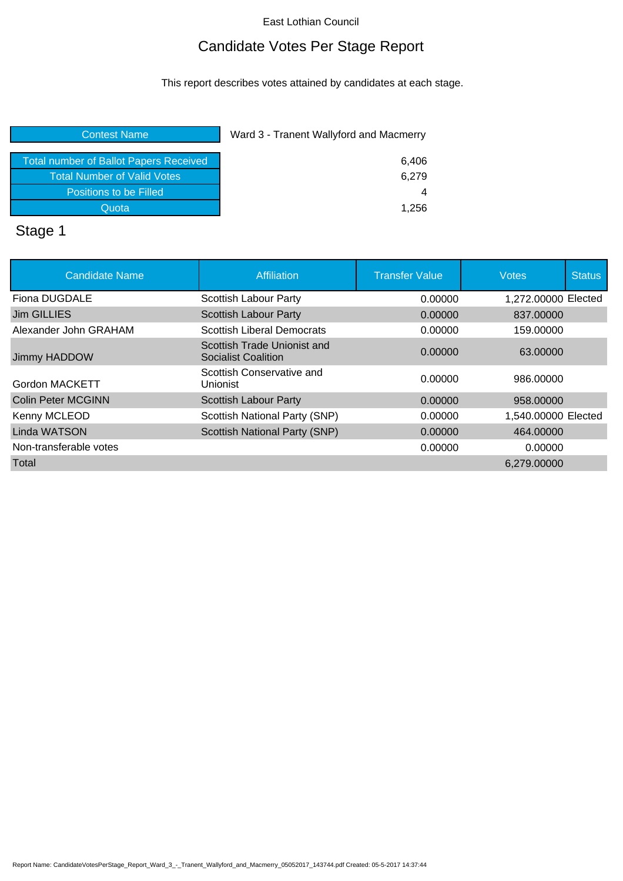### Candidate Votes Per Stage Report

This report describes votes attained by candidates at each stage.

| 6,406 |
|-------|
| 6,279 |
| 4     |
| 1,256 |
|       |

# Stage 1

| <b>Candidate Name</b>  | Affiliation                                               | <b>Transfer Value</b> | <b>Votes</b>        | <b>Status</b> |
|------------------------|-----------------------------------------------------------|-----------------------|---------------------|---------------|
| Fiona DUGDALE          | Scottish Labour Party                                     | 0.00000               | 1,272,00000 Elected |               |
| Jim GILLIES            | Scottish Labour Party                                     | 0.00000               | 837,00000           |               |
| Alexander John GRAHAM  | <b>Scottish Liberal Democrats</b>                         | 0.00000               | 159.00000           |               |
| Jimmy HADDOW           | Scottish Trade Unionist and<br><b>Socialist Coalition</b> | 0.00000               | 63.00000            |               |
| Gordon MACKETT         | Scottish Conservative and<br>Unionist                     | 0.00000               | 986.00000           |               |
| Colin Peter MCGINN     | <b>Scottish Labour Party</b>                              | 0.00000               | 958,00000           |               |
| Kenny MCLEOD           | Scottish National Party (SNP)                             | 0.00000               | 1,540.00000 Elected |               |
| <b>Linda WATSON</b>    | <b>Scottish National Party (SNP)</b>                      | 0.00000               | 464,00000           |               |
| Non-transferable votes |                                                           | 0.00000               | 0.00000             |               |
| Total                  |                                                           |                       | 6,279.00000         |               |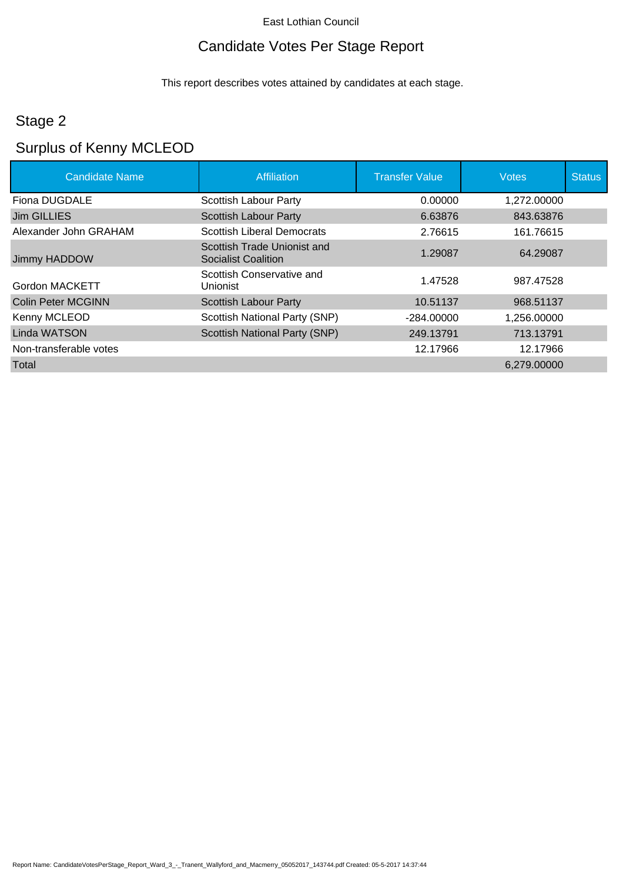### Candidate Votes Per Stage Report

This report describes votes attained by candidates at each stage.

### Stage 2

# Surplus of Kenny MCLEOD

| <b>Candidate Name</b>     | <b>Affiliation</b>                                 | <b>Transfer Value</b> | <b>Votes</b> | <b>Status</b> |
|---------------------------|----------------------------------------------------|-----------------------|--------------|---------------|
| Fiona DUGDALE             | Scottish Labour Party                              | 0.00000               | 1,272.00000  |               |
| Jim GILLIES               | <b>Scottish Labour Party</b>                       | 6.63876               | 843.63876    |               |
| Alexander John GRAHAM     | <b>Scottish Liberal Democrats</b>                  | 2.76615               | 161.76615    |               |
| Jimmy HADDOW              | Scottish Trade Unionist and<br>Socialist Coalition | 1.29087               | 64.29087     |               |
| Gordon MACKETT            | Scottish Conservative and<br>Unionist              | 1.47528               | 987.47528    |               |
| <b>Colin Peter MCGINN</b> | Scottish Labour Party                              | 10.51137              | 968.51137    |               |
| Kenny MCLEOD              | Scottish National Party (SNP)                      | $-284.00000$          | 1.256.00000  |               |
| Linda WATSON              | Scottish National Party (SNP)                      | 249.13791             | 713.13791    |               |
| Non-transferable votes    |                                                    | 12.17966              | 12.17966     |               |
| Total                     |                                                    |                       | 6,279.00000  |               |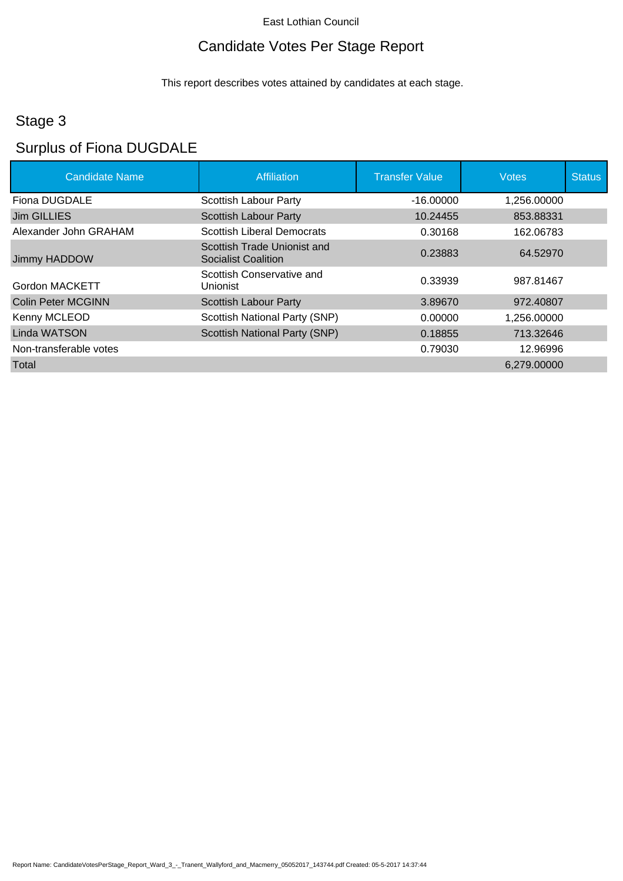### Candidate Votes Per Stage Report

This report describes votes attained by candidates at each stage.

### Stage 3

### Surplus of Fiona DUGDALE

| <b>Candidate Name</b>  | Affiliation                                               | <b>Transfer Value</b> | <b>Votes</b> | <b>Status</b> |
|------------------------|-----------------------------------------------------------|-----------------------|--------------|---------------|
| Fiona DUGDALE          | Scottish Labour Party                                     | $-16.00000$           | 1,256.00000  |               |
| <b>Jim GILLIES</b>     | <b>Scottish Labour Party</b>                              | 10.24455              | 853.88331    |               |
| Alexander John GRAHAM  | <b>Scottish Liberal Democrats</b>                         | 0.30168               | 162.06783    |               |
| Jimmy HADDOW           | Scottish Trade Unionist and<br><b>Socialist Coalition</b> | 0.23883               | 64.52970     |               |
| Gordon MACKETT         | Scottish Conservative and<br><b>Unionist</b>              | 0.33939               | 987.81467    |               |
| Colin Peter MCGINN     | <b>Scottish Labour Party</b>                              | 3.89670               | 972.40807    |               |
| Kenny MCLEOD           | Scottish National Party (SNP)                             | 0.00000               | 1,256.00000  |               |
| <b>Linda WATSON</b>    | Scottish National Party (SNP)                             | 0.18855               | 713.32646    |               |
| Non-transferable votes |                                                           | 0.79030               | 12.96996     |               |
| Total                  |                                                           |                       | 6,279.00000  |               |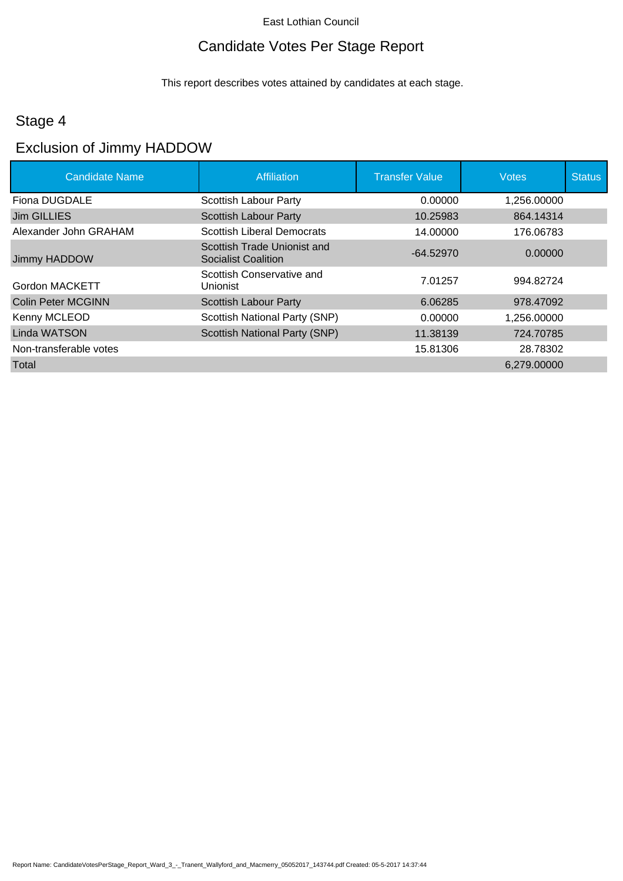### Candidate Votes Per Stage Report

This report describes votes attained by candidates at each stage.

### Stage 4

### Exclusion of Jimmy HADDOW

| <b>Candidate Name</b>  | <b>Affiliation</b>                                 | <b>Transfer Value</b> | <b>Votes</b> | <b>Status</b> |
|------------------------|----------------------------------------------------|-----------------------|--------------|---------------|
| Fiona DUGDALE          | Scottish Labour Party                              | 0.00000               | 1,256.00000  |               |
| Jim GILLIES            | <b>Scottish Labour Party</b>                       | 10.25983              | 864.14314    |               |
| Alexander John GRAHAM  | <b>Scottish Liberal Democrats</b>                  | 14.00000              | 176.06783    |               |
| Jimmy HADDOW           | Scottish Trade Unionist and<br>Socialist Coalition | $-64.52970$           | 0.00000      |               |
| <b>Gordon MACKETT</b>  | Scottish Conservative and<br><b>Unionist</b>       | 7.01257               | 994.82724    |               |
| Colin Peter MCGINN     | <b>Scottish Labour Party</b>                       | 6.06285               | 978.47092    |               |
| Kenny MCLEOD           | Scottish National Party (SNP)                      | 0.00000               | 1,256.00000  |               |
| Linda WATSON           | Scottish National Party (SNP)                      | 11.38139              | 724.70785    |               |
| Non-transferable votes |                                                    | 15.81306              | 28.78302     |               |
| Total                  |                                                    |                       | 6,279.00000  |               |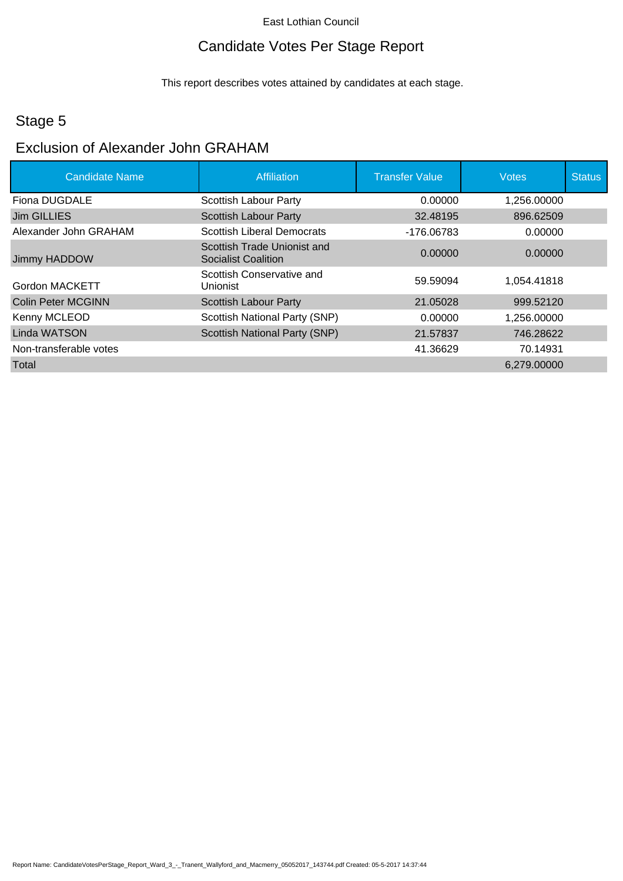### Candidate Votes Per Stage Report

This report describes votes attained by candidates at each stage.

### Stage 5

### Exclusion of Alexander John GRAHAM

| <b>Candidate Name</b>     | <b>Affiliation</b>                                        | <b>Transfer Value</b> | <b>Votes</b> | <b>Status</b> |
|---------------------------|-----------------------------------------------------------|-----------------------|--------------|---------------|
| Fiona DUGDALE             | Scottish Labour Party                                     | 0.00000               | 1,256.00000  |               |
| Jim GILLIES               | <b>Scottish Labour Party</b>                              | 32.48195              | 896.62509    |               |
| Alexander John GRAHAM     | <b>Scottish Liberal Democrats</b>                         | -176.06783            | 0.00000      |               |
| Jimmy HADDOW              | Scottish Trade Unionist and<br><b>Socialist Coalition</b> | 0.00000               | 0.00000      |               |
| <b>Gordon MACKETT</b>     | Scottish Conservative and<br>Unionist                     | 59.59094              | 1,054.41818  |               |
| <b>Colin Peter MCGINN</b> | Scottish Labour Party                                     | 21.05028              | 999.52120    |               |
| Kenny MCLEOD              | Scottish National Party (SNP)                             | 0.00000               | 1,256.00000  |               |
| Linda WATSON              | <b>Scottish National Party (SNP)</b>                      | 21.57837              | 746.28622    |               |
| Non-transferable votes    |                                                           | 41.36629              | 70.14931     |               |
| Total                     |                                                           |                       | 6,279.00000  |               |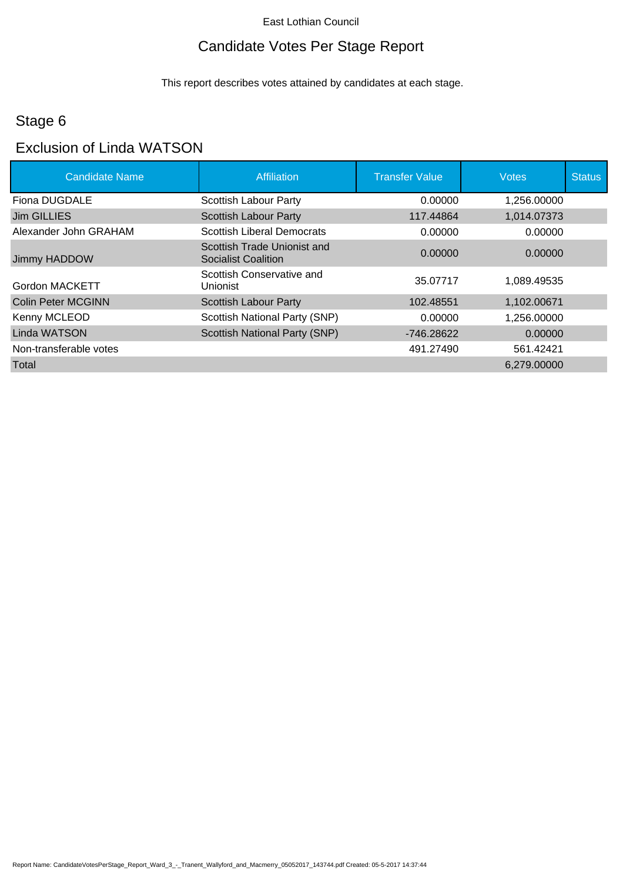### Candidate Votes Per Stage Report

This report describes votes attained by candidates at each stage.

### Stage 6

## Exclusion of Linda WATSON

| <b>Candidate Name</b>     | <b>Affiliation</b>                                 | <b>Transfer Value</b> | <b>Votes</b> | <b>Status</b> |
|---------------------------|----------------------------------------------------|-----------------------|--------------|---------------|
| Fiona DUGDALE             | Scottish Labour Party                              | 0.00000               | 1,256.00000  |               |
| Jim GILLIES               | <b>Scottish Labour Party</b>                       | 117.44864             | 1,014.07373  |               |
| Alexander John GRAHAM     | <b>Scottish Liberal Democrats</b>                  | 0.00000               | 0.00000      |               |
| Jimmy HADDOW              | Scottish Trade Unionist and<br>Socialist Coalition | 0.00000               | 0.00000      |               |
| Gordon MACKETT            | Scottish Conservative and<br>Unionist              | 35.07717              | 1,089.49535  |               |
| <b>Colin Peter MCGINN</b> | <b>Scottish Labour Party</b>                       | 102.48551             | 1,102.00671  |               |
| Kenny MCLEOD              | Scottish National Party (SNP)                      | 0.00000               | 1.256.00000  |               |
| Linda WATSON              | Scottish National Party (SNP)                      | -746.28622            | 0.00000      |               |
| Non-transferable votes    |                                                    | 491.27490             | 561.42421    |               |
| Total                     |                                                    |                       | 6,279.00000  |               |